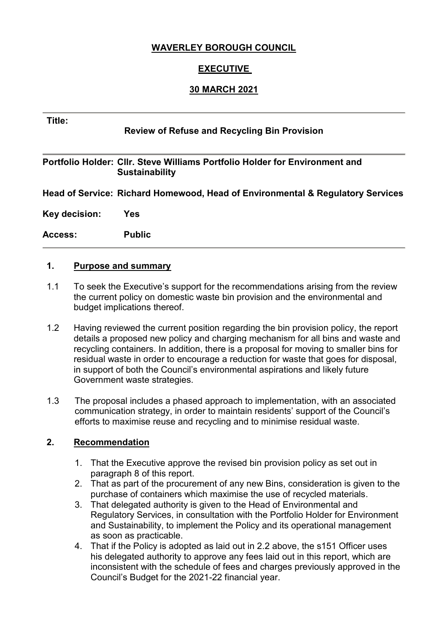# **WAVERLEY BOROUGH COUNCIL**

# **EXECUTIVE**

# **30 MARCH 2021**

#### **Title:**

# **Review of Refuse and Recycling Bin Provision**

### **Portfolio Holder: Cllr. Steve Williams Portfolio Holder for Environment and Sustainability**

**Head of Service: Richard Homewood, Head of Environmental & Regulatory Services**

**Key decision: Yes**

**Access: Public**

#### **1. Purpose and summary**

- 1.1 To seek the Executive's support for the recommendations arising from the review the current policy on domestic waste bin provision and the environmental and budget implications thereof.
- 1.2 Having reviewed the current position regarding the bin provision policy, the report details a proposed new policy and charging mechanism for all bins and waste and recycling containers. In addition, there is a proposal for moving to smaller bins for residual waste in order to encourage a reduction for waste that goes for disposal, in support of both the Council's environmental aspirations and likely future Government waste strategies.
- 1.3 The proposal includes a phased approach to implementation, with an associated communication strategy, in order to maintain residents' support of the Council's efforts to maximise reuse and recycling and to minimise residual waste.

#### **2. Recommendation**

- 1. That the Executive approve the revised bin provision policy as set out in paragraph 8 of this report.
- 2. That as part of the procurement of any new Bins, consideration is given to the purchase of containers which maximise the use of recycled materials.
- 3. That delegated authority is given to the Head of Environmental and Regulatory Services, in consultation with the Portfolio Holder for Environment and Sustainability, to implement the Policy and its operational management as soon as practicable.
- 4. That if the Policy is adopted as laid out in 2.2 above, the s151 Officer uses his delegated authority to approve any fees laid out in this report, which are inconsistent with the schedule of fees and charges previously approved in the Council's Budget for the 2021-22 financial year.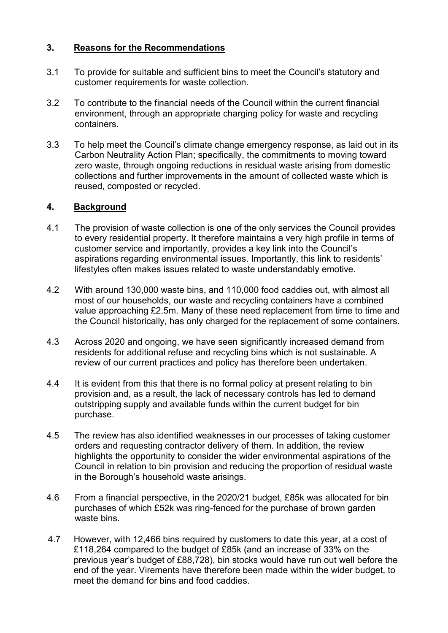# **3. Reasons for the Recommendations**

- 3.1 To provide for suitable and sufficient bins to meet the Council's statutory and customer requirements for waste collection.
- 3.2 To contribute to the financial needs of the Council within the current financial environment, through an appropriate charging policy for waste and recycling containers.
- 3.3 To help meet the Council's climate change emergency response, as laid out in its Carbon Neutrality Action Plan; specifically, the commitments to moving toward zero waste, through ongoing reductions in residual waste arising from domestic collections and further improvements in the amount of collected waste which is reused, composted or recycled.

# **4. Background**

- 4.1 The provision of waste collection is one of the only services the Council provides to every residential property. It therefore maintains a very high profile in terms of customer service and importantly, provides a key link into the Council's aspirations regarding environmental issues. Importantly, this link to residents' lifestyles often makes issues related to waste understandably emotive.
- 4.2 With around 130,000 waste bins, and 110,000 food caddies out, with almost all most of our households, our waste and recycling containers have a combined value approaching £2.5m. Many of these need replacement from time to time and the Council historically, has only charged for the replacement of some containers.
- 4.3 Across 2020 and ongoing, we have seen significantly increased demand from residents for additional refuse and recycling bins which is not sustainable. A review of our current practices and policy has therefore been undertaken.
- 4.4 It is evident from this that there is no formal policy at present relating to bin provision and, as a result, the lack of necessary controls has led to demand outstripping supply and available funds within the current budget for bin purchase.
- 4.5 The review has also identified weaknesses in our processes of taking customer orders and requesting contractor delivery of them. In addition, the review highlights the opportunity to consider the wider environmental aspirations of the Council in relation to bin provision and reducing the proportion of residual waste in the Borough's household waste arisings.
- 4.6 From a financial perspective, in the 2020/21 budget, £85k was allocated for bin purchases of which £52k was ring-fenced for the purchase of brown garden waste bins.
- 4.7 However, with 12,466 bins required by customers to date this year, at a cost of £118,264 compared to the budget of £85k (and an increase of 33% on the previous year's budget of £88,728), bin stocks would have run out well before the end of the year. Virements have therefore been made within the wider budget, to meet the demand for bins and food caddies.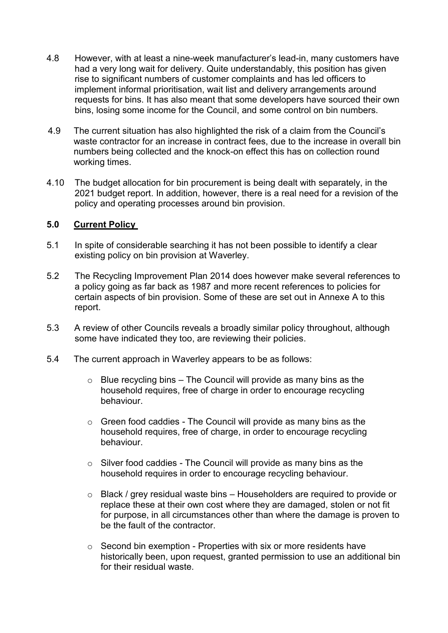- 4.8 However, with at least a nine-week manufacturer's lead-in, many customers have had a very long wait for delivery. Quite understandably, this position has given rise to significant numbers of customer complaints and has led officers to implement informal prioritisation, wait list and delivery arrangements around requests for bins. It has also meant that some developers have sourced their own bins, losing some income for the Council, and some control on bin numbers.
- 4.9 The current situation has also highlighted the risk of a claim from the Council's waste contractor for an increase in contract fees, due to the increase in overall bin numbers being collected and the knock-on effect this has on collection round working times.
- 4.10 The budget allocation for bin procurement is being dealt with separately, in the 2021 budget report. In addition, however, there is a real need for a revision of the policy and operating processes around bin provision.

#### **5.0 Current Policy**

- 5.1 In spite of considerable searching it has not been possible to identify a clear existing policy on bin provision at Waverley.
- 5.2 The Recycling Improvement Plan 2014 does however make several references to a policy going as far back as 1987 and more recent references to policies for certain aspects of bin provision. Some of these are set out in Annexe A to this report.
- 5.3 A review of other Councils reveals a broadly similar policy throughout, although some have indicated they too, are reviewing their policies.
- 5.4 The current approach in Waverley appears to be as follows:
	- $\circ$  Blue recycling bins The Council will provide as many bins as the household requires, free of charge in order to encourage recycling behaviour.
	- o Green food caddies The Council will provide as many bins as the household requires, free of charge, in order to encourage recycling behaviour.
	- o Silver food caddies The Council will provide as many bins as the household requires in order to encourage recycling behaviour.
	- $\circ$  Black / grey residual waste bins Householders are required to provide or replace these at their own cost where they are damaged, stolen or not fit for purpose, in all circumstances other than where the damage is proven to be the fault of the contractor.
	- $\circ$  Second bin exemption Properties with six or more residents have historically been, upon request, granted permission to use an additional bin for their residual waste.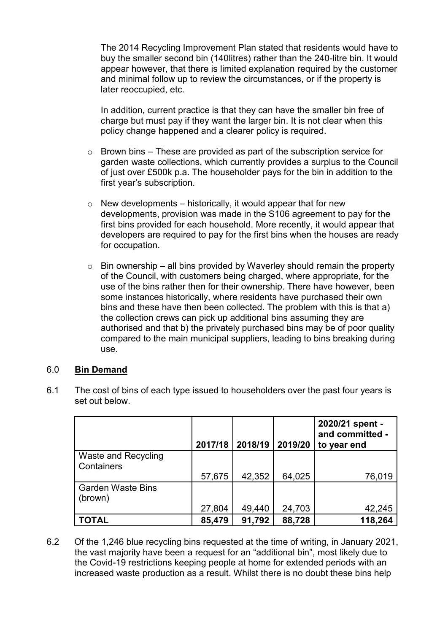The 2014 Recycling Improvement Plan stated that residents would have to buy the smaller second bin (140litres) rather than the 240-litre bin. It would appear however, that there is limited explanation required by the customer and minimal follow up to review the circumstances, or if the property is later reoccupied, etc.

In addition, current practice is that they can have the smaller bin free of charge but must pay if they want the larger bin. It is not clear when this policy change happened and a clearer policy is required.

- $\circ$  Brown bins These are provided as part of the subscription service for garden waste collections, which currently provides a surplus to the Council of just over £500k p.a. The householder pays for the bin in addition to the first year's subscription.
- $\circ$  New developments historically, it would appear that for new developments, provision was made in the S106 agreement to pay for the first bins provided for each household. More recently, it would appear that developers are required to pay for the first bins when the houses are ready for occupation.
- $\circ$  Bin ownership all bins provided by Waverley should remain the property of the Council, with customers being charged, where appropriate, for the use of the bins rather then for their ownership. There have however, been some instances historically, where residents have purchased their own bins and these have then been collected. The problem with this is that a) the collection crews can pick up additional bins assuming they are authorised and that b) the privately purchased bins may be of poor quality compared to the main municipal suppliers, leading to bins breaking during use.

#### 6.0 **Bin Demand**

|                                          |        | 2017/18   2018/19 | 2019/20 | 2020/21 spent -<br>and committed -<br>to year end |
|------------------------------------------|--------|-------------------|---------|---------------------------------------------------|
| <b>Waste and Recycling</b><br>Containers |        |                   |         |                                                   |
|                                          | 57,675 | 42,352            | 64,025  | 76,019                                            |
| <b>Garden Waste Bins</b><br>(brown)      |        |                   |         |                                                   |
|                                          | 27,804 | 49,440            | 24,703  | 42,245                                            |
| TOTAL                                    | 85,479 | 91,792            | 88,728  | 118,264                                           |

6.1 The cost of bins of each type issued to householders over the past four years is set out below.

6.2 Of the 1,246 blue recycling bins requested at the time of writing, in January 2021, the vast majority have been a request for an "additional bin", most likely due to the Covid-19 restrictions keeping people at home for extended periods with an increased waste production as a result. Whilst there is no doubt these bins help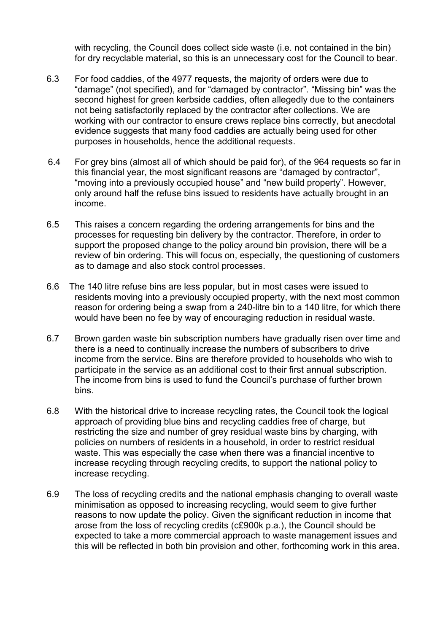with recycling, the Council does collect side waste (i.e. not contained in the bin) for dry recyclable material, so this is an unnecessary cost for the Council to bear.

- 6.3 For food caddies, of the 4977 requests, the majority of orders were due to "damage" (not specified), and for "damaged by contractor". "Missing bin" was the second highest for green kerbside caddies, often allegedly due to the containers not being satisfactorily replaced by the contractor after collections. We are working with our contractor to ensure crews replace bins correctly, but anecdotal evidence suggests that many food caddies are actually being used for other purposes in households, hence the additional requests.
- 6.4 For grey bins (almost all of which should be paid for), of the 964 requests so far in this financial year, the most significant reasons are "damaged by contractor", "moving into a previously occupied house" and "new build property". However, only around half the refuse bins issued to residents have actually brought in an income.
- 6.5 This raises a concern regarding the ordering arrangements for bins and the processes for requesting bin delivery by the contractor. Therefore, in order to support the proposed change to the policy around bin provision, there will be a review of bin ordering. This will focus on, especially, the questioning of customers as to damage and also stock control processes.
- 6.6 The 140 litre refuse bins are less popular, but in most cases were issued to residents moving into a previously occupied property, with the next most common reason for ordering being a swap from a 240-litre bin to a 140 litre, for which there would have been no fee by way of encouraging reduction in residual waste.
- 6.7 Brown garden waste bin subscription numbers have gradually risen over time and there is a need to continually increase the numbers of subscribers to drive income from the service. Bins are therefore provided to households who wish to participate in the service as an additional cost to their first annual subscription. The income from bins is used to fund the Council's purchase of further brown bins.
- 6.8 With the historical drive to increase recycling rates, the Council took the logical approach of providing blue bins and recycling caddies free of charge, but restricting the size and number of grey residual waste bins by charging, with policies on numbers of residents in a household, in order to restrict residual waste. This was especially the case when there was a financial incentive to increase recycling through recycling credits, to support the national policy to increase recycling.
- 6.9 The loss of recycling credits and the national emphasis changing to overall waste minimisation as opposed to increasing recycling, would seem to give further reasons to now update the policy. Given the significant reduction in income that arose from the loss of recycling credits (c£900k p.a.), the Council should be expected to take a more commercial approach to waste management issues and this will be reflected in both bin provision and other, forthcoming work in this area.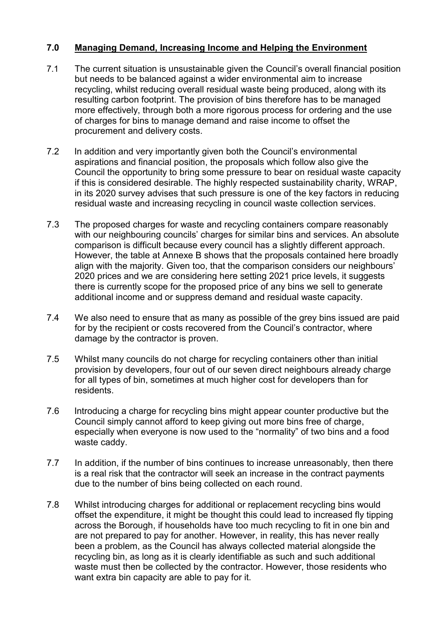# **7.0 Managing Demand, Increasing Income and Helping the Environment**

- 7.1 The current situation is unsustainable given the Council's overall financial position but needs to be balanced against a wider environmental aim to increase recycling, whilst reducing overall residual waste being produced, along with its resulting carbon footprint. The provision of bins therefore has to be managed more effectively, through both a more rigorous process for ordering and the use of charges for bins to manage demand and raise income to offset the procurement and delivery costs.
- 7.2 In addition and very importantly given both the Council's environmental aspirations and financial position, the proposals which follow also give the Council the opportunity to bring some pressure to bear on residual waste capacity if this is considered desirable. The highly respected sustainability charity, WRAP, in its 2020 survey advises that such pressure is one of the key factors in reducing residual waste and increasing recycling in council waste collection services.
- 7.3 The proposed charges for waste and recycling containers compare reasonably with our neighbouring councils' charges for similar bins and services. An absolute comparison is difficult because every council has a slightly different approach. However, the table at Annexe B shows that the proposals contained here broadly align with the majority. Given too, that the comparison considers our neighbours' 2020 prices and we are considering here setting 2021 price levels, it suggests there is currently scope for the proposed price of any bins we sell to generate additional income and or suppress demand and residual waste capacity.
- 7.4 We also need to ensure that as many as possible of the grey bins issued are paid for by the recipient or costs recovered from the Council's contractor, where damage by the contractor is proven.
- 7.5 Whilst many councils do not charge for recycling containers other than initial provision by developers, four out of our seven direct neighbours already charge for all types of bin, sometimes at much higher cost for developers than for residents.
- 7.6 Introducing a charge for recycling bins might appear counter productive but the Council simply cannot afford to keep giving out more bins free of charge, especially when everyone is now used to the "normality" of two bins and a food waste caddy.
- 7.7 In addition, if the number of bins continues to increase unreasonably, then there is a real risk that the contractor will seek an increase in the contract payments due to the number of bins being collected on each round.
- 7.8 Whilst introducing charges for additional or replacement recycling bins would offset the expenditure, it might be thought this could lead to increased fly tipping across the Borough, if households have too much recycling to fit in one bin and are not prepared to pay for another. However, in reality, this has never really been a problem, as the Council has always collected material alongside the recycling bin, as long as it is clearly identifiable as such and such additional waste must then be collected by the contractor. However, those residents who want extra bin capacity are able to pay for it.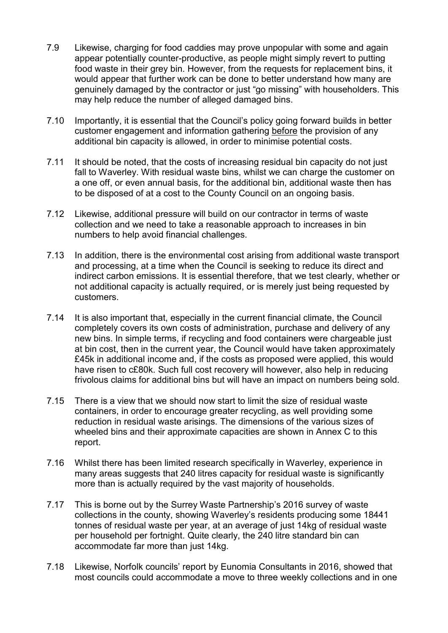- 7.9 Likewise, charging for food caddies may prove unpopular with some and again appear potentially counter-productive, as people might simply revert to putting food waste in their grey bin. However, from the requests for replacement bins, it would appear that further work can be done to better understand how many are genuinely damaged by the contractor or just "go missing" with householders. This may help reduce the number of alleged damaged bins.
- 7.10 Importantly, it is essential that the Council's policy going forward builds in better customer engagement and information gathering before the provision of any additional bin capacity is allowed, in order to minimise potential costs.
- 7.11 It should be noted, that the costs of increasing residual bin capacity do not just fall to Waverley. With residual waste bins, whilst we can charge the customer on a one off, or even annual basis, for the additional bin, additional waste then has to be disposed of at a cost to the County Council on an ongoing basis.
- 7.12 Likewise, additional pressure will build on our contractor in terms of waste collection and we need to take a reasonable approach to increases in bin numbers to help avoid financial challenges.
- 7.13 In addition, there is the environmental cost arising from additional waste transport and processing, at a time when the Council is seeking to reduce its direct and indirect carbon emissions. It is essential therefore, that we test clearly, whether or not additional capacity is actually required, or is merely just being requested by customers.
- 7.14 It is also important that, especially in the current financial climate, the Council completely covers its own costs of administration, purchase and delivery of any new bins. In simple terms, if recycling and food containers were chargeable just at bin cost, then in the current year, the Council would have taken approximately £45k in additional income and, if the costs as proposed were applied, this would have risen to c£80k. Such full cost recovery will however, also help in reducing frivolous claims for additional bins but will have an impact on numbers being sold.
- 7.15 There is a view that we should now start to limit the size of residual waste containers, in order to encourage greater recycling, as well providing some reduction in residual waste arisings. The dimensions of the various sizes of wheeled bins and their approximate capacities are shown in Annex C to this report.
- 7.16 Whilst there has been limited research specifically in Waverley, experience in many areas suggests that 240 litres capacity for residual waste is significantly more than is actually required by the vast majority of households.
- 7.17 This is borne out by the Surrey Waste Partnership's 2016 survey of waste collections in the county, showing Waverley's residents producing some 18441 tonnes of residual waste per year, at an average of just 14kg of residual waste per household per fortnight. Quite clearly, the 240 litre standard bin can accommodate far more than just 14kg.
- 7.18 Likewise, Norfolk councils' report by Eunomia Consultants in 2016, showed that most councils could accommodate a move to three weekly collections and in one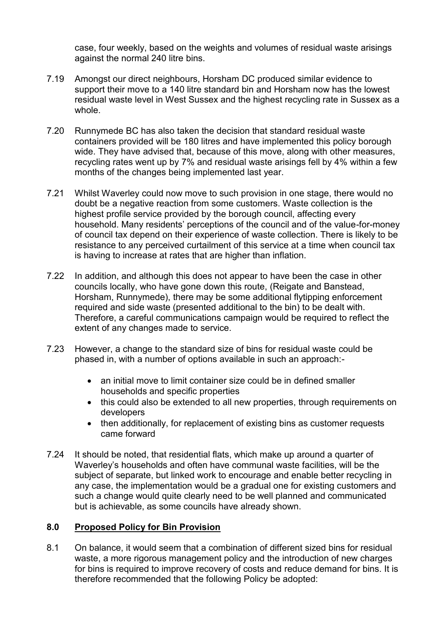case, four weekly, based on the weights and volumes of residual waste arisings against the normal 240 litre bins.

- 7.19 Amongst our direct neighbours, Horsham DC produced similar evidence to support their move to a 140 litre standard bin and Horsham now has the lowest residual waste level in West Sussex and the highest recycling rate in Sussex as a whole.
- 7.20 Runnymede BC has also taken the decision that standard residual waste containers provided will be 180 litres and have implemented this policy borough wide. They have advised that, because of this move, along with other measures, recycling rates went up by 7% and residual waste arisings fell by 4% within a few months of the changes being implemented last year.
- 7.21 Whilst Waverley could now move to such provision in one stage, there would no doubt be a negative reaction from some customers. Waste collection is the highest profile service provided by the borough council, affecting every household. Many residents' perceptions of the council and of the value-for-money of council tax depend on their experience of waste collection. There is likely to be resistance to any perceived curtailment of this service at a time when council tax is having to increase at rates that are higher than inflation.
- 7.22 In addition, and although this does not appear to have been the case in other councils locally, who have gone down this route, (Reigate and Banstead, Horsham, Runnymede), there may be some additional flytipping enforcement required and side waste (presented additional to the bin) to be dealt with. Therefore, a careful communications campaign would be required to reflect the extent of any changes made to service.
- 7.23 However, a change to the standard size of bins for residual waste could be phased in, with a number of options available in such an approach:-
	- an initial move to limit container size could be in defined smaller households and specific properties
	- this could also be extended to all new properties, through requirements on developers
	- then additionally, for replacement of existing bins as customer requests came forward
- 7.24 It should be noted, that residential flats, which make up around a quarter of Waverley's households and often have communal waste facilities, will be the subject of separate, but linked work to encourage and enable better recycling in any case, the implementation would be a gradual one for existing customers and such a change would quite clearly need to be well planned and communicated but is achievable, as some councils have already shown.

# **8.0 Proposed Policy for Bin Provision**

8.1 On balance, it would seem that a combination of different sized bins for residual waste, a more rigorous management policy and the introduction of new charges for bins is required to improve recovery of costs and reduce demand for bins. It is therefore recommended that the following Policy be adopted: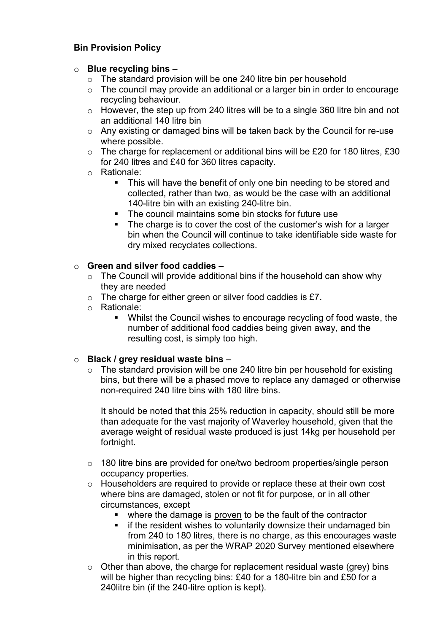# **Bin Provision Policy**

## o **Blue recycling bins** –

- o The standard provision will be one 240 litre bin per household
- o The council may provide an additional or a larger bin in order to encourage recycling behaviour.
- o However, the step up from 240 litres will be to a single 360 litre bin and not an additional 140 litre bin
- o Any existing or damaged bins will be taken back by the Council for re-use where possible.
- o The charge for replacement or additional bins will be £20 for 180 litres, £30 for 240 litres and £40 for 360 litres capacity.
- o Rationale:
	- This will have the benefit of only one bin needing to be stored and collected, rather than two, as would be the case with an additional 140-litre bin with an existing 240-litre bin.
	- The council maintains some bin stocks for future use
	- The charge is to cover the cost of the customer's wish for a larger bin when the Council will continue to take identifiable side waste for dry mixed recyclates collections.

# o **Green and silver food caddies** –

- o The Council will provide additional bins if the household can show why they are needed
- o The charge for either green or silver food caddies is £7.
- o Rationale:
	- Whilst the Council wishes to encourage recycling of food waste, the number of additional food caddies being given away, and the resulting cost, is simply too high.

# o **Black / grey residual waste bins** –

 $\circ$  The standard provision will be one 240 litre bin per household for existing bins, but there will be a phased move to replace any damaged or otherwise non-required 240 litre bins with 180 litre bins.

It should be noted that this 25% reduction in capacity, should still be more than adequate for the vast majority of Waverley household, given that the average weight of residual waste produced is just 14kg per household per fortnight.

- o 180 litre bins are provided for one/two bedroom properties/single person occupancy properties.
- o Householders are required to provide or replace these at their own cost where bins are damaged, stolen or not fit for purpose, or in all other circumstances, except
	- where the damage is proven to be the fault of the contractor
	- **i** if the resident wishes to voluntarily downsize their undamaged bin from 240 to 180 litres, there is no charge, as this encourages waste minimisation, as per the WRAP 2020 Survey mentioned elsewhere in this report.
- $\circ$  Other than above, the charge for replacement residual waste (grey) bins will be higher than recycling bins: £40 for a 180-litre bin and £50 for a 240litre bin (if the 240-litre option is kept).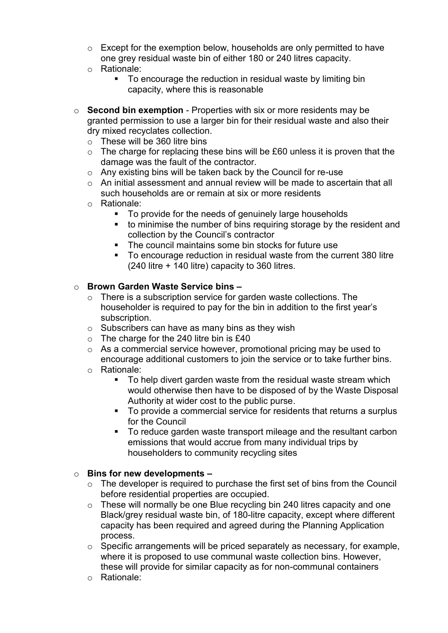- o Except for the exemption below, households are only permitted to have one grey residual waste bin of either 180 or 240 litres capacity.
- o Rationale:
	- To encourage the reduction in residual waste by limiting bin capacity, where this is reasonable
- o **Second bin exemption** Properties with six or more residents may be granted permission to use a larger bin for their residual waste and also their dry mixed recyclates collection.
	- o These will be 360 litre bins
	- $\circ$  The charge for replacing these bins will be £60 unless it is proven that the damage was the fault of the contractor.
	- o Any existing bins will be taken back by the Council for re-use
	- $\circ$  An initial assessment and annual review will be made to ascertain that all such households are or remain at six or more residents
	- o Rationale:
		- To provide for the needs of genuinely large households
		- to minimise the number of bins requiring storage by the resident and collection by the Council's contractor
		- **The council maintains some bin stocks for future use**
		- To encourage reduction in residual waste from the current 380 litre (240 litre + 140 litre) capacity to 360 litres.

#### o **Brown Garden Waste Service bins –**

- o There is a subscription service for garden waste collections. The householder is required to pay for the bin in addition to the first year's subscription.
- $\circ$  Subscribers can have as many bins as they wish
- o The charge for the 240 litre bin is £40
- $\circ$  As a commercial service however, promotional pricing may be used to encourage additional customers to join the service or to take further bins.
- o Rationale:
	- To help divert garden waste from the residual waste stream which would otherwise then have to be disposed of by the Waste Disposal Authority at wider cost to the public purse.
	- To provide a commercial service for residents that returns a surplus for the Council
	- To reduce garden waste transport mileage and the resultant carbon emissions that would accrue from many individual trips by householders to community recycling sites

#### o **Bins for new developments –**

- o The developer is required to purchase the first set of bins from the Council before residential properties are occupied.
- o These will normally be one Blue recycling bin 240 litres capacity and one Black/grey residual waste bin, of 180-litre capacity, except where different capacity has been required and agreed during the Planning Application process.
- o Specific arrangements will be priced separately as necessary, for example, where it is proposed to use communal waste collection bins. However, these will provide for similar capacity as for non-communal containers
- o Rationale: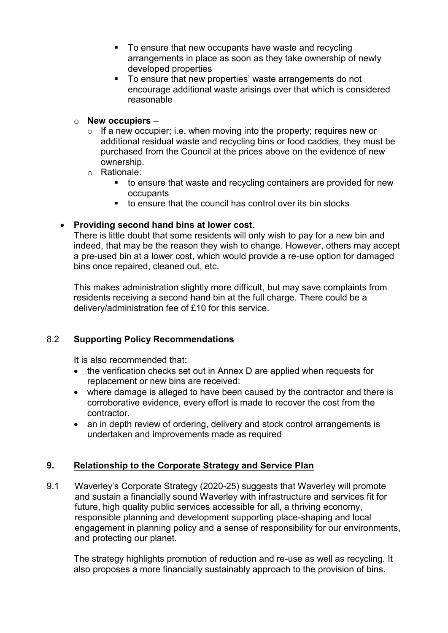- To ensure that new occupants have waste and recycling arrangements in place as soon as they take ownership of newly developed properties
- To ensure that new properties' waste arrangements do not encourage additional waste arisings over that which is considered reasonable

# o **New occupiers** –

- $\circ$  If a new occupier; i.e. when moving into the property; requires new or additional residual waste and recycling bins or food caddies, they must be purchased from the Council at the prices above on the evidence of new ownership.
- o Rationale:
	- to ensure that waste and recycling containers are provided for new occupants
	- to ensure that the council has control over its bin stocks

# **Providing second hand bins at lower cost**.

There is little doubt that some residents will only wish to pay for a new bin and indeed, that may be the reason they wish to change. However, others may accept a pre-used bin at a lower cost, which would provide a re-use option for damaged bins once repaired, cleaned out, etc.

This makes administration slightly more difficult, but may save complaints from residents receiving a second hand bin at the full charge. There could be a delivery/administration fee of £10 for this service.

# 8.2 **Supporting Policy Recommendations**

It is also recommended that:

- the verification checks set out in Annex D are applied when requests for replacement or new bins are received:
- where damage is alleged to have been caused by the contractor and there is corroborative evidence, every effort is made to recover the cost from the contractor.
- an in depth review of ordering, delivery and stock control arrangements is undertaken and improvements made as required

# **9. Relationship to the Corporate Strategy and Service Plan**

9.1 Waverley's Corporate Strategy (2020-25) suggests that Waverley will promote and sustain a financially sound Waverley with infrastructure and services fit for future, high quality public services accessible for all, a thriving economy, responsible planning and development supporting place-shaping and local engagement in planning policy and a sense of responsibility for our environments, and protecting our planet.

The strategy highlights promotion of reduction and re-use as well as recycling. It also proposes a more financially sustainably approach to the provision of bins.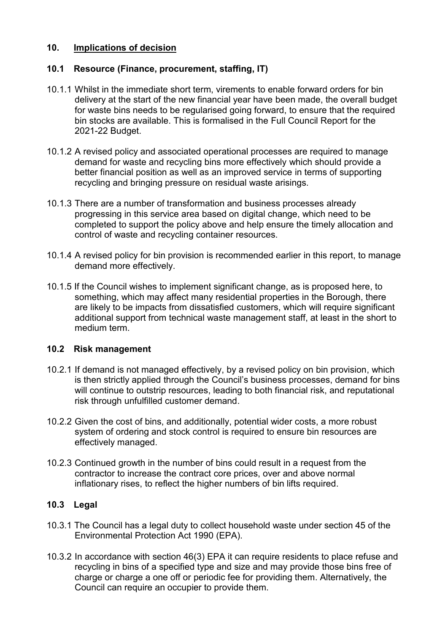# **10. Implications of decision**

# **10.1 Resource (Finance, procurement, staffing, IT)**

- 10.1.1 Whilst in the immediate short term, virements to enable forward orders for bin delivery at the start of the new financial year have been made, the overall budget for waste bins needs to be regularised going forward, to ensure that the required bin stocks are available. This is formalised in the Full Council Report for the 2021-22 Budget.
- 10.1.2 A revised policy and associated operational processes are required to manage demand for waste and recycling bins more effectively which should provide a better financial position as well as an improved service in terms of supporting recycling and bringing pressure on residual waste arisings.
- 10.1.3 There are a number of transformation and business processes already progressing in this service area based on digital change, which need to be completed to support the policy above and help ensure the timely allocation and control of waste and recycling container resources.
- 10.1.4 A revised policy for bin provision is recommended earlier in this report, to manage demand more effectively.
- 10.1.5 If the Council wishes to implement significant change, as is proposed here, to something, which may affect many residential properties in the Borough, there are likely to be impacts from dissatisfied customers, which will require significant additional support from technical waste management staff, at least in the short to medium term.

#### **10.2 Risk management**

- 10.2.1 If demand is not managed effectively, by a revised policy on bin provision, which is then strictly applied through the Council's business processes, demand for bins will continue to outstrip resources, leading to both financial risk, and reputational risk through unfulfilled customer demand.
- 10.2.2 Given the cost of bins, and additionally, potential wider costs, a more robust system of ordering and stock control is required to ensure bin resources are effectively managed.
- 10.2.3 Continued growth in the number of bins could result in a request from the contractor to increase the contract core prices, over and above normal inflationary rises, to reflect the higher numbers of bin lifts required.

#### **10.3 Legal**

- 10.3.1 The Council has a legal duty to collect household waste under section 45 of the Environmental Protection Act 1990 (EPA).
- 10.3.2 In accordance with section 46(3) EPA it can require residents to place refuse and recycling in bins of a specified type and size and may provide those bins free of charge or charge a one off or periodic fee for providing them. Alternatively, the Council can require an occupier to provide them.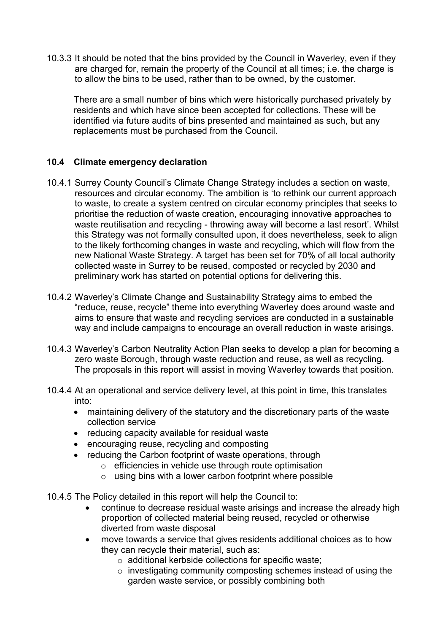10.3.3 It should be noted that the bins provided by the Council in Waverley, even if they are charged for, remain the property of the Council at all times; i.e. the charge is to allow the bins to be used, rather than to be owned, by the customer.

There are a small number of bins which were historically purchased privately by residents and which have since been accepted for collections. These will be identified via future audits of bins presented and maintained as such, but any replacements must be purchased from the Council.

# **10.4 Climate emergency declaration**

- 10.4.1 Surrey County Council's Climate Change Strategy includes a section on waste, resources and circular economy. The ambition is 'to rethink our current approach to waste, to create a system centred on circular economy principles that seeks to prioritise the reduction of waste creation, encouraging innovative approaches to waste reutilisation and recycling - throwing away will become a last resort'. Whilst this Strategy was not formally consulted upon, it does nevertheless, seek to align to the likely forthcoming changes in waste and recycling, which will flow from the new National Waste Strategy. A target has been set for 70% of all local authority collected waste in Surrey to be reused, composted or recycled by 2030 and preliminary work has started on potential options for delivering this.
- 10.4.2 Waverley's Climate Change and Sustainability Strategy aims to embed the "reduce, reuse, recycle" theme into everything Waverley does around waste and aims to ensure that waste and recycling services are conducted in a sustainable way and include campaigns to encourage an overall reduction in waste arisings.
- 10.4.3 Waverley's Carbon Neutrality Action Plan seeks to develop a plan for becoming a zero waste Borough, through waste reduction and reuse, as well as recycling. The proposals in this report will assist in moving Waverley towards that position.
- 10.4.4 At an operational and service delivery level, at this point in time, this translates into:
	- maintaining delivery of the statutory and the discretionary parts of the waste collection service
	- reducing capacity available for residual waste
	- encouraging reuse, recycling and composting
	- reducing the Carbon footprint of waste operations, through
		- o efficiencies in vehicle use through route optimisation
		- $\circ$  using bins with a lower carbon footprint where possible
- 10.4.5 The Policy detailed in this report will help the Council to:
	- continue to decrease residual waste arisings and increase the already high proportion of collected material being reused, recycled or otherwise diverted from waste disposal
	- move towards a service that gives residents additional choices as to how they can recycle their material, such as:
		- o additional kerbside collections for specific waste;
		- o investigating community composting schemes instead of using the garden waste service, or possibly combining both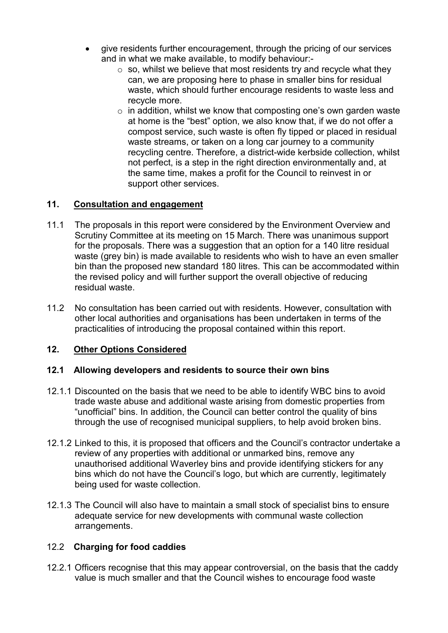- give residents further encouragement, through the pricing of our services and in what we make available, to modify behaviour:-
	- $\circ$  so, whilst we believe that most residents try and recycle what they can, we are proposing here to phase in smaller bins for residual waste, which should further encourage residents to waste less and recycle more.
	- $\circ$  in addition, whilst we know that composting one's own garden waste at home is the "best" option, we also know that, if we do not offer a compost service, such waste is often fly tipped or placed in residual waste streams, or taken on a long car journey to a community recycling centre. Therefore, a district-wide kerbside collection, whilst not perfect, is a step in the right direction environmentally and, at the same time, makes a profit for the Council to reinvest in or support other services.

# **11. Consultation and engagement**

- 11.1 The proposals in this report were considered by the Environment Overview and Scrutiny Committee at its meeting on 15 March. There was unanimous support for the proposals. There was a suggestion that an option for a 140 litre residual waste (grey bin) is made available to residents who wish to have an even smaller bin than the proposed new standard 180 litres. This can be accommodated within the revised policy and will further support the overall objective of reducing residual waste.
- 11.2 No consultation has been carried out with residents. However, consultation with other local authorities and organisations has been undertaken in terms of the practicalities of introducing the proposal contained within this report.

#### **12. Other Options Considered**

#### **12.1 Allowing developers and residents to source their own bins**

- 12.1.1 Discounted on the basis that we need to be able to identify WBC bins to avoid trade waste abuse and additional waste arising from domestic properties from "unofficial" bins. In addition, the Council can better control the quality of bins through the use of recognised municipal suppliers, to help avoid broken bins.
- 12.1.2 Linked to this, it is proposed that officers and the Council's contractor undertake a review of any properties with additional or unmarked bins, remove any unauthorised additional Waverley bins and provide identifying stickers for any bins which do not have the Council's logo, but which are currently, legitimately being used for waste collection.
- 12.1.3 The Council will also have to maintain a small stock of specialist bins to ensure adequate service for new developments with communal waste collection arrangements.

#### 12.2 **Charging for food caddies**

12.2.1 Officers recognise that this may appear controversial, on the basis that the caddy value is much smaller and that the Council wishes to encourage food waste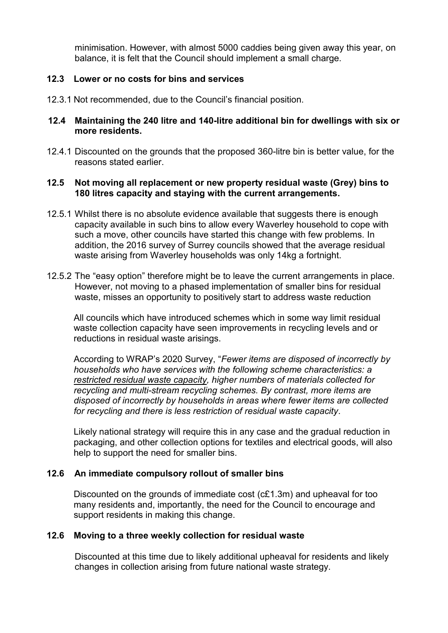minimisation. However, with almost 5000 caddies being given away this year, on balance, it is felt that the Council should implement a small charge.

# **12.3 Lower or no costs for bins and services**

12.3.1 Not recommended, due to the Council's financial position.

#### **12.4 Maintaining the 240 litre and 140-litre additional bin for dwellings with six or more residents.**

12.4.1 Discounted on the grounds that the proposed 360-litre bin is better value, for the reasons stated earlier.

#### **12.5 Not moving all replacement or new property residual waste (Grey) bins to 180 litres capacity and staying with the current arrangements.**

- 12.5.1 Whilst there is no absolute evidence available that suggests there is enough capacity available in such bins to allow every Waverley household to cope with such a move, other councils have started this change with few problems. In addition, the 2016 survey of Surrey councils showed that the average residual waste arising from Waverley households was only 14kg a fortnight.
- 12.5.2 The "easy option" therefore might be to leave the current arrangements in place. However, not moving to a phased implementation of smaller bins for residual waste, misses an opportunity to positively start to address waste reduction

All councils which have introduced schemes which in some way limit residual waste collection capacity have seen improvements in recycling levels and or reductions in residual waste arisings.

According to WRAP's 2020 Survey, "*Fewer items are disposed of incorrectly by households who have services with the following scheme characteristics: a restricted residual waste capacity, higher numbers of materials collected for recycling and multi-stream recycling schemes. By contrast, more items are disposed of incorrectly by households in areas where fewer items are collected for recycling and there is less restriction of residual waste capacity*.

Likely national strategy will require this in any case and the gradual reduction in packaging, and other collection options for textiles and electrical goods, will also help to support the need for smaller bins.

#### **12.6 An immediate compulsory rollout of smaller bins**

Discounted on the grounds of immediate cost (c£1.3m) and upheaval for too many residents and, importantly, the need for the Council to encourage and support residents in making this change.

#### **12.6 Moving to a three weekly collection for residual waste**

Discounted at this time due to likely additional upheaval for residents and likely changes in collection arising from future national waste strategy.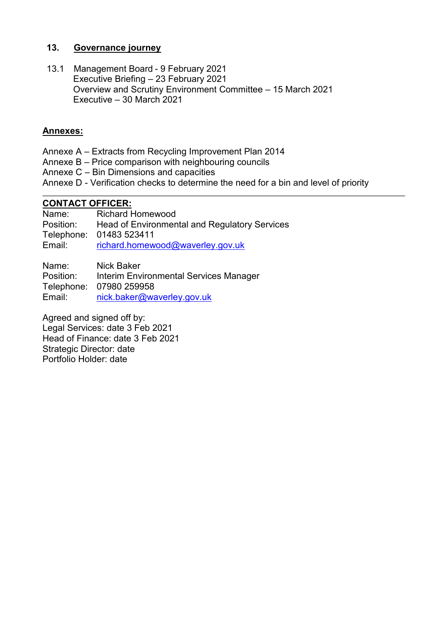# **13. Governance journey**

13.1 Management Board - 9 February 2021 Executive Briefing – 23 February 2021 Overview and Scrutiny Environment Committee – 15 March 2021 Executive – 30 March 2021

# **Annexes:**

- Annexe A Extracts from Recycling Improvement Plan 2014
- Annexe B Price comparison with neighbouring councils
- Annexe C Bin Dimensions and capacities
- Annexe D Verification checks to determine the need for a bin and level of priority

# **CONTACT OFFICER:**<br>Name: Richard F

Richard Homewood Position: Head of Environmental and Regulatory Services Telephone: 01483 523411 Email: [richard.homewood@waverley.gov.uk](mailto:richard.homewood@waverley.gov.uk)

Name: Nick Baker Position: Interim Environmental Services Manager Telephone: 07980 259958 Email: [nick.baker@waverley.gov.uk](mailto:nick.baker@waverley.gov.uk)

Agreed and signed off by: Legal Services: date 3 Feb 2021 Head of Finance: date 3 Feb 2021 Strategic Director: date Portfolio Holder: date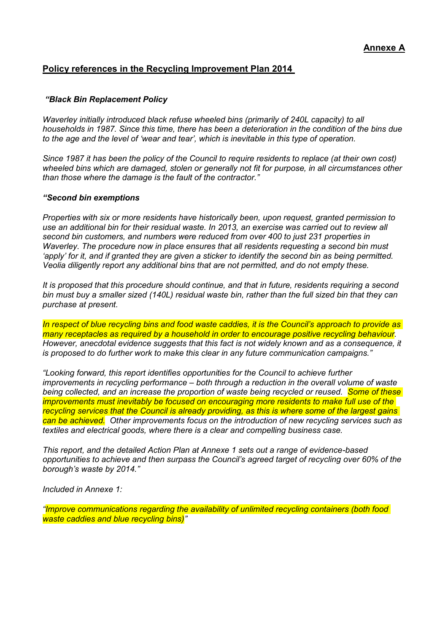# **Policy references in the Recycling Improvement Plan 2014**

#### *"Black Bin Replacement Policy*

*Waverley initially introduced black refuse wheeled bins (primarily of 240L capacity) to all households in 1987. Since this time, there has been a deterioration in the condition of the bins due to the age and the level of 'wear and tear', which is inevitable in this type of operation.*

*Since 1987 it has been the policy of the Council to require residents to replace (at their own cost) wheeled bins which are damaged, stolen or generally not fit for purpose, in all circumstances other than those where the damage is the fault of the contractor."*

#### *"Second bin exemptions*

*Properties with six or more residents have historically been, upon request, granted permission to use an additional bin for their residual waste. In 2013, an exercise was carried out to review all second bin customers, and numbers were reduced from over 400 to just 231 properties in Waverley. The procedure now in place ensures that all residents requesting a second bin must 'apply' for it, and if granted they are given a sticker to identify the second bin as being permitted. Veolia diligently report any additional bins that are not permitted, and do not empty these.*

*It is proposed that this procedure should continue, and that in future, residents requiring a second bin must buy a smaller sized (140L) residual waste bin, rather than the full sized bin that they can purchase at present.*

*In respect of blue recycling bins and food waste caddies, it is the Council's approach to provide as many receptacles as required by a household in order to encourage positive recycling behaviour. However, anecdotal evidence suggests that this fact is not widely known and as a consequence, it is proposed to do further work to make this clear in any future communication campaigns."*

*"Looking forward, this report identifies opportunities for the Council to achieve further improvements in recycling performance – both through a reduction in the overall volume of waste being collected, and an increase the proportion of waste being recycled or reused. Some of these improvements must inevitably be focused on encouraging more residents to make full use of the recycling services that the Council is already providing, as this is where some of the largest gains can be achieved. Other improvements focus on the introduction of new recycling services such as textiles and electrical goods, where there is a clear and compelling business case.* 

*This report, and the detailed Action Plan at Annexe 1 sets out a range of evidence-based opportunities to achieve and then surpass the Council's agreed target of recycling over 60% of the borough's waste by 2014."*

*Included in Annexe 1:*

*"Improve communications regarding the availability of unlimited recycling containers (both food waste caddies and blue recycling bins)"*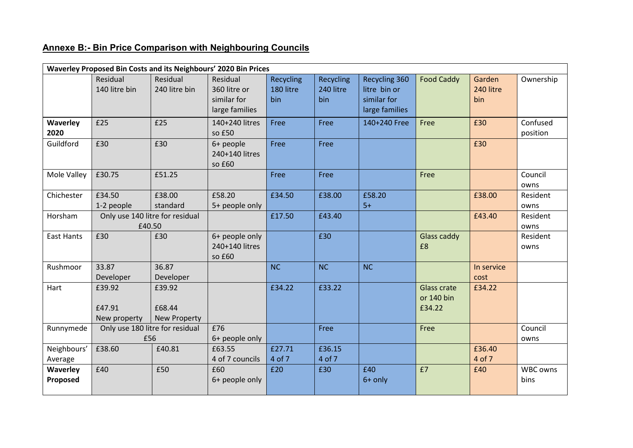# **Annexe B:- Bin Price Comparison with Neighbouring Councils**

| Waverley Proposed Bin Costs and its Neighbours' 2020 Bin Prices |                                           |                                         |                                                           |                               |                               |                                                                |                                            |                            |                         |  |  |
|-----------------------------------------------------------------|-------------------------------------------|-----------------------------------------|-----------------------------------------------------------|-------------------------------|-------------------------------|----------------------------------------------------------------|--------------------------------------------|----------------------------|-------------------------|--|--|
|                                                                 | Residual<br>140 litre bin                 | Residual<br>240 litre bin               | Residual<br>360 litre or<br>similar for<br>large families | Recycling<br>180 litre<br>bin | Recycling<br>240 litre<br>bin | Recycling 360<br>litre bin or<br>similar for<br>large families | <b>Food Caddy</b>                          | Garden<br>240 litre<br>bin | Ownership               |  |  |
| <b>Waverley</b><br>2020                                         | £25                                       | £25                                     | 140+240 litres<br>so £50                                  | Free                          | Free                          | 140+240 Free                                                   | Free                                       | £30                        | Confused<br>position    |  |  |
| Guildford                                                       | £30                                       | £30                                     | 6+ people<br>240+140 litres<br>so £60                     | Free                          | Free                          |                                                                |                                            | £30                        |                         |  |  |
| Mole Valley                                                     | £30.75                                    | £51.25                                  |                                                           | Free                          | Free                          |                                                                | Free                                       |                            | Council<br>owns         |  |  |
| Chichester                                                      | £34.50<br>1-2 people                      | £38.00<br>standard                      | £58.20<br>5+ people only                                  | £34.50                        | £38.00                        | £58.20<br>$5+$                                                 |                                            | £38.00                     | Resident<br>owns        |  |  |
| Horsham                                                         | Only use 140 litre for residual<br>£40.50 |                                         |                                                           | £17.50                        | £43.40                        |                                                                |                                            | £43.40                     | Resident<br>owns        |  |  |
| <b>East Hants</b>                                               | £30                                       | £30                                     | 6+ people only<br>240+140 litres<br>so £60                |                               | £30                           |                                                                | Glass caddy<br>£8                          |                            | Resident<br>owns        |  |  |
| Rushmoor                                                        | 33.87<br>Developer                        | 36.87<br>Developer                      |                                                           | NC                            | <b>NC</b>                     | <b>NC</b>                                                      |                                            | In service<br>cost         |                         |  |  |
| Hart                                                            | £39.92<br>£47.91<br>New property          | £39.92<br>£68.44<br><b>New Property</b> |                                                           | £34.22                        | £33.22                        |                                                                | <b>Glass crate</b><br>or 140 bin<br>£34.22 | £34.22                     |                         |  |  |
| Runnymede                                                       | Only use 180 litre for residual<br>£56    |                                         | £76<br>6+ people only                                     |                               | Free                          |                                                                | Free                                       |                            | Council<br>owns         |  |  |
| Neighbours'<br>Average                                          | £38.60                                    | £40.81                                  | £63.55<br>4 of 7 councils                                 | £27.71<br>4 of 7              | £36.15<br>4 of 7              |                                                                |                                            | £36.40<br>4 of 7           |                         |  |  |
| <b>Waverley</b><br>Proposed                                     | £40                                       | £50                                     | £60<br>6+ people only                                     | £20                           | £30                           | £40<br>6+ only                                                 | £7                                         | £40                        | <b>WBC owns</b><br>bins |  |  |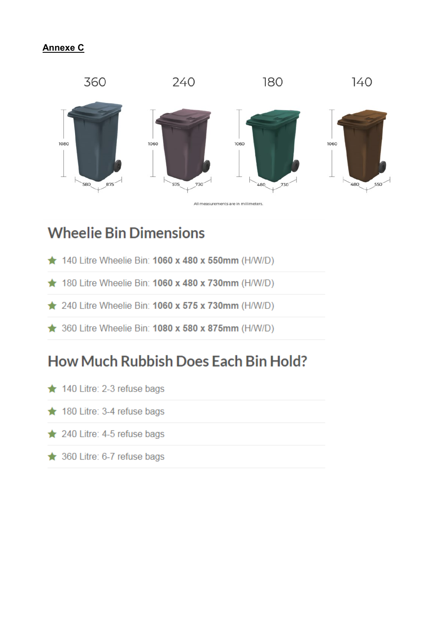# **Annexe C**



# **Wheelie Bin Dimensions**

- $\star$  140 Litre Wheelie Bin: 1060 x 480 x 550mm (H/W/D)
- $\star$  180 Litre Wheelie Bin: 1060 x 480 x 730mm (H/W/D)
- ★ 240 Litre Wheelie Bin: 1060 x 575 x 730mm (H/W/D)
- **★ 360 Litre Wheelie Bin: 1080 x 580 x 875mm (H/W/D)**

# **How Much Rubbish Does Each Bin Hold?**

- ★ 140 Litre: 2-3 refuse bags
- ★ 180 Litre: 3-4 refuse bags
- $\star$  240 Litre: 4-5 refuse bags
- **★ 360 Litre: 6-7 refuse bags**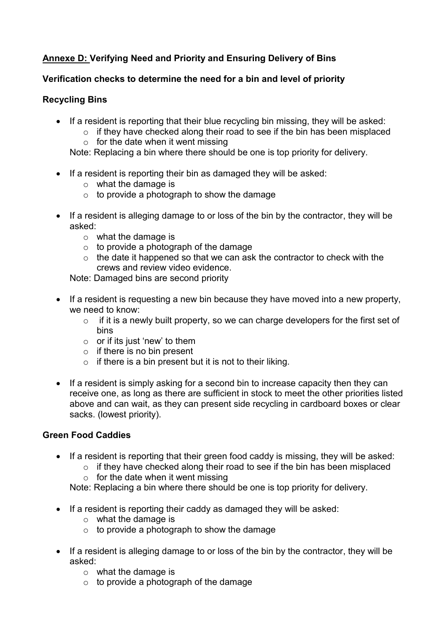# **Annexe D: Verifying Need and Priority and Ensuring Delivery of Bins**

# **Verification checks to determine the need for a bin and level of priority**

# **Recycling Bins**

- If a resident is reporting that their blue recycling bin missing, they will be asked:
	- $\circ$  if they have checked along their road to see if the bin has been misplaced
	- $\circ$  for the date when it went missing

Note: Replacing a bin where there should be one is top priority for delivery.

- If a resident is reporting their bin as damaged they will be asked:
	- $\circ$  what the damage is
	- $\circ$  to provide a photograph to show the damage
- If a resident is alleging damage to or loss of the bin by the contractor, they will be asked:
	- o what the damage is
	- $\circ$  to provide a photograph of the damage
	- $\circ$  the date it happened so that we can ask the contractor to check with the crews and review video evidence.

Note: Damaged bins are second priority

- If a resident is requesting a new bin because they have moved into a new property, we need to know:
	- $\circ$  if it is a newly built property, so we can charge developers for the first set of bins
	- $\circ$  or if its just 'new' to them
	- $\circ$  if there is no bin present
	- $\circ$  if there is a bin present but it is not to their liking.
- If a resident is simply asking for a second bin to increase capacity then they can receive one, as long as there are sufficient in stock to meet the other priorities listed above and can wait, as they can present side recycling in cardboard boxes or clear sacks. (lowest priority).

# **Green Food Caddies**

- If a resident is reporting that their green food caddy is missing, they will be asked:
	- $\circ$  if they have checked along their road to see if the bin has been misplaced
	- $\circ$  for the date when it went missing

Note: Replacing a bin where there should be one is top priority for delivery.

- If a resident is reporting their caddy as damaged they will be asked:
	- o what the damage is
	- $\circ$  to provide a photograph to show the damage
- If a resident is alleging damage to or loss of the bin by the contractor, they will be asked:
	- o what the damage is
	- $\circ$  to provide a photograph of the damage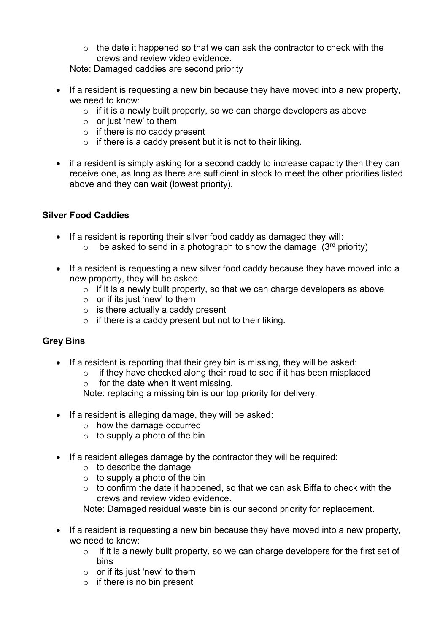$\circ$  the date it happened so that we can ask the contractor to check with the crews and review video evidence.

Note: Damaged caddies are second priority

- If a resident is requesting a new bin because they have moved into a new property, we need to know:
	- $\circ$  if it is a newly built property, so we can charge developers as above
	- $\circ$  or just 'new' to them
	- $\circ$  if there is no caddy present
	- $\circ$  if there is a caddy present but it is not to their liking.
- if a resident is simply asking for a second caddy to increase capacity then they can receive one, as long as there are sufficient in stock to meet the other priorities listed above and they can wait (lowest priority).

# **Silver Food Caddies**

- If a resident is reporting their silver food caddy as damaged they will:
	- $\circ$  be asked to send in a photograph to show the damage. (3<sup>rd</sup> priority)
- If a resident is requesting a new silver food caddy because they have moved into a new property, they will be asked
	- $\circ$  if it is a newly built property, so that we can charge developers as above
	- $\circ$  or if its just 'new' to them
	- $\circ$  is there actually a caddy present
	- $\circ$  if there is a caddy present but not to their liking.

# **Grey Bins**

- If a resident is reporting that their grey bin is missing, they will be asked:
	- $\circ$  if they have checked along their road to see if it has been misplaced
	- $\circ$  for the date when it went missing.

Note: replacing a missing bin is our top priority for delivery.

- $\bullet$  If a resident is alleging damage, they will be asked:
	- o how the damage occurred
	- $\circ$  to supply a photo of the bin
- If a resident alleges damage by the contractor they will be required:
	- $\circ$  to describe the damage
	- $\circ$  to supply a photo of the bin
	- $\circ$  to confirm the date it happened, so that we can ask Biffa to check with the crews and review video evidence.

Note: Damaged residual waste bin is our second priority for replacement.

- If a resident is requesting a new bin because they have moved into a new property, we need to know:
	- $\circ$  if it is a newly built property, so we can charge developers for the first set of bins
	- $\circ$  or if its just 'new' to them
	- $\circ$  if there is no bin present